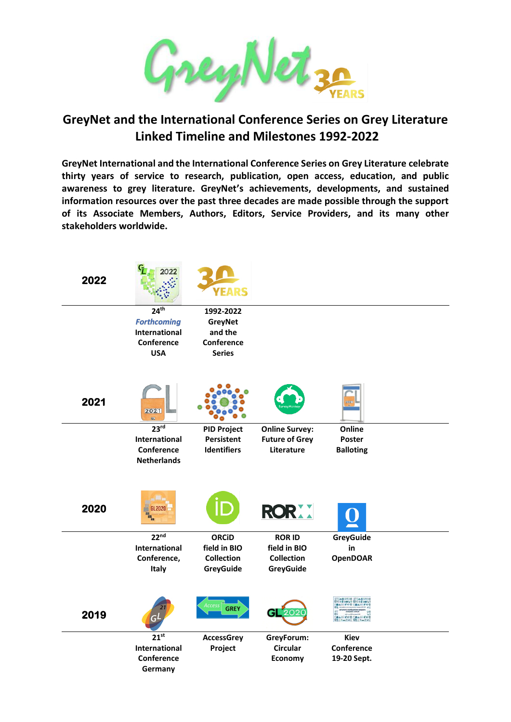

## **GreyNet and the International Conference Series on Grey Literature Linked Timeline and Milestones 1992-2022**

**GreyNet International and the International Conference Series on Grey Literature celebrate thirty years of service to research, publication, open access, education, and public awareness to grey literature. GreyNet's achievements, developments, and sustained information resources over the past three decades are made possible through the support of its Associate Members, Authors, Editors, Service Providers, and its many other stakeholders worldwide.**

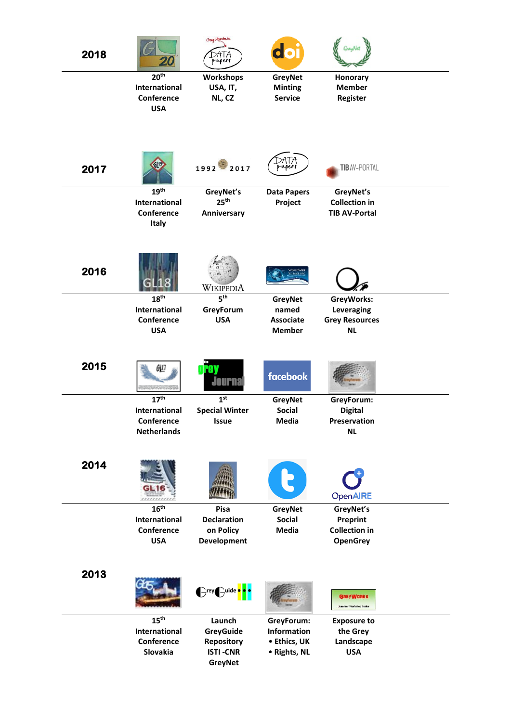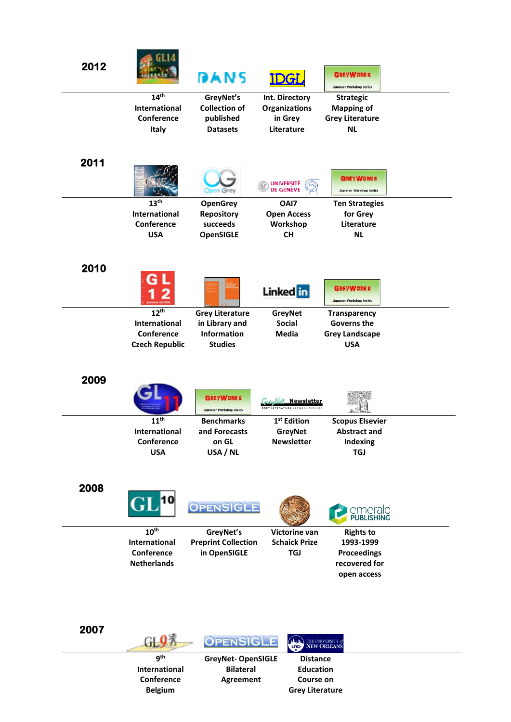| 2012 |                             | DANS                                         | <u>DGI</u>                          | <b>GREYWORKS</b><br><b>Summer Workshop Series</b> |  |
|------|-----------------------------|----------------------------------------------|-------------------------------------|---------------------------------------------------|--|
|      | 14 <sup>th</sup>            | GreyNet's                                    | <b>Int. Directory</b>               | <b>Strategic</b>                                  |  |
|      | International               | <b>Collection of</b>                         | <b>Organizations</b>                | <b>Mapping of</b>                                 |  |
|      | Conference                  | published<br><b>Datasets</b>                 | in Grey<br>Literature               | <b>Grey Literature</b><br><b>NL</b>               |  |
|      | Italy                       |                                              |                                     |                                                   |  |
|      |                             |                                              |                                     |                                                   |  |
| 2011 |                             |                                              |                                     |                                                   |  |
|      |                             |                                              |                                     | <b>GREYWORKS</b>                                  |  |
|      |                             | pen Grey                                     | UNIVERSITÉ<br>DE GENÈVE             | <b>Summer Workshop Series</b>                     |  |
|      | 13 <sup>th</sup>            | <b>OpenGrey</b>                              | OAI7                                | <b>Ten Strategies</b>                             |  |
|      | International               | <b>Repository</b>                            | <b>Open Access</b>                  | for Grey                                          |  |
|      | Conference                  | succeeds                                     | Workshop                            | Literature                                        |  |
|      | <b>USA</b>                  | <b>OpenSIGLE</b>                             | <b>CH</b>                           | <b>NL</b>                                         |  |
|      |                             |                                              |                                     |                                                   |  |
|      |                             |                                              |                                     |                                                   |  |
| 2010 |                             |                                              |                                     |                                                   |  |
|      |                             |                                              | Linked in                           | <b>GREYWORKS</b>                                  |  |
|      |                             |                                              |                                     | <b>Summer Workshop Series</b>                     |  |
|      | 12 <sup>th</sup>            | <b>Grey Literature</b>                       | <b>GreyNet</b>                      | <b>Transparency</b>                               |  |
|      | <b>International</b>        | in Library and                               | <b>Social</b>                       | Governs the                                       |  |
|      | Conference                  | Information                                  | <b>Media</b>                        | <b>Grey Landscape</b>                             |  |
|      | <b>Czech Republic</b>       | <b>Studies</b>                               |                                     | <b>USA</b>                                        |  |
|      |                             |                                              |                                     |                                                   |  |
| 2009 |                             |                                              |                                     |                                                   |  |
|      |                             |                                              |                                     |                                                   |  |
|      |                             | <b>GREYWORKS</b>                             | <b>Net Newsletter</b>               |                                                   |  |
|      |                             | <b>Summer Workshop Series</b>                | <b>TERATURE NETWORK SERVIC</b>      |                                                   |  |
|      | 11 <sup>th</sup>            | <b>Benchmarks</b>                            | 1 <sup>st</sup> Edition             | <b>Scopus Elsevier</b>                            |  |
|      | International<br>Conference | and Forecasts<br>on GL                       | <b>GreyNet</b><br><b>Newsletter</b> | <b>Abstract and</b><br>Indexing                   |  |
|      | <b>USA</b>                  | USA / NL                                     |                                     | <b>TGJ</b>                                        |  |
|      |                             |                                              |                                     |                                                   |  |
|      |                             |                                              |                                     |                                                   |  |
| 2008 |                             |                                              |                                     |                                                   |  |
|      |                             | <b>OPENSIGLE</b>                             |                                     |                                                   |  |
|      |                             |                                              |                                     | emerald<br>PUBLISHING                             |  |
|      | 10 <sup>th</sup>            | GreyNet's                                    | <b>Victorine van</b>                | <b>Rights to</b>                                  |  |
|      | <b>International</b>        | <b>Preprint Collection</b>                   | <b>Schaick Prize</b>                | 1993-1999                                         |  |
|      | Conference                  | in OpenSIGLE                                 | <b>TGJ</b>                          | <b>Proceedings</b>                                |  |
|      | <b>Netherlands</b>          |                                              |                                     | recovered for                                     |  |
|      |                             |                                              |                                     | open access                                       |  |
|      |                             |                                              |                                     |                                                   |  |
|      |                             |                                              |                                     |                                                   |  |
|      |                             |                                              |                                     |                                                   |  |
| 2007 |                             |                                              |                                     |                                                   |  |
|      | GL9 A                       | <b>OPENSIGLE</b>                             | THE UNIVERSITY of                   |                                                   |  |
|      |                             |                                              |                                     |                                                   |  |
|      | gth<br>International        | <b>GreyNet-OpenSIGLE</b><br><b>Bilateral</b> | <b>Distance</b><br><b>Education</b> |                                                   |  |
|      | Conference                  | <b>Agreement</b>                             | <b>Course on</b>                    |                                                   |  |
|      | <b>Belgium</b>              |                                              | <b>Grey Literature</b>              |                                                   |  |
|      |                             |                                              |                                     |                                                   |  |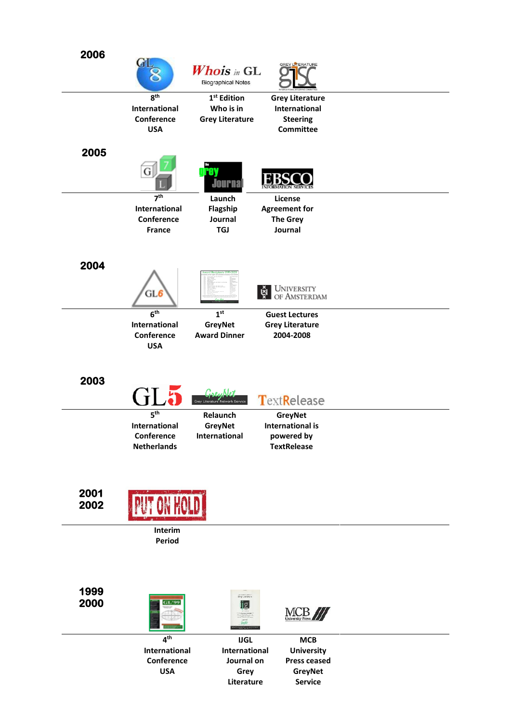